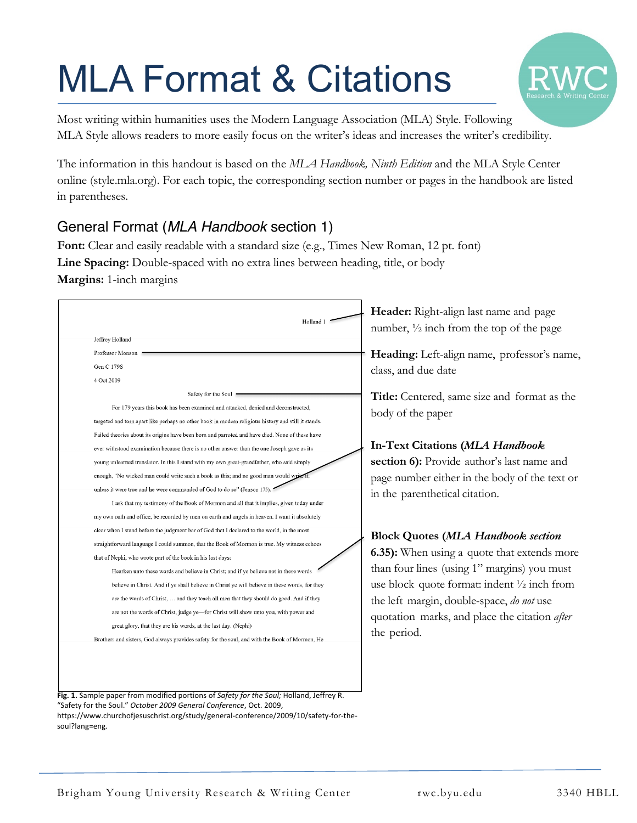# MLA Format & Citations



Most writing within humanities uses the Modern Language Association (MLA) Style. Following MLA Style allows readers to more easily focus on the writer's ideas and increases the writer's credibility.

The information in this handout is based on the *MLA Handbook, Ninth Edition* and the MLA Style Center online (style.mla.org). For each topic, the corresponding section number or pages in the handbook are listed in parentheses.

# General Format (*MLA Handbook* section 1)

**Font:** Clear and easily readable with a standard size (e.g., Times New Roman, 12 pt. font) **Line Spacing:** Double-spaced with no extra lines between heading, title, or body **Margins:** 1-inch margins

| Holland 1                                                                                           |
|-----------------------------------------------------------------------------------------------------|
| Jeffrey Holland                                                                                     |
| Professor Monson                                                                                    |
| Gen C 179S                                                                                          |
| 4 Oct 2009                                                                                          |
| Safety for the Soul                                                                                 |
| For 179 years this book has been examined and attacked, denied and deconstructed,                   |
| targeted and torn apart like perhaps no other book in modern religious history and still it stands. |
| Failed theories about its origins have been born and parroted and have died. None of these have     |
| ever withstood examination because there is no other answer than the one Joseph gave as its         |
| young unlearned translator. In this I stand with my own great-grandfather, who said simply          |
| enough, "No wicked man could write such a book as this; and no good man would write it              |
| unless it were true and he were commanded of God to do so" (Jenson 175).                            |
| I ask that my testimony of the Book of Mormon and all that it implies, given today under            |
| my own oath and office, be recorded by men on earth and angels in heaven. I want it absolutely      |
| clear when I stand before the judgment bar of God that I declared to the world, in the most         |
| straightforward language I could summon, that the Book of Mormon is true. My witness echoes         |
| that of Nephi, who wrote part of the book in his last days:                                         |
| Hearken unto these words and believe in Christ; and if ye believe not in these words                |
| believe in Christ. And if ye shall believe in Christ ye will believe in these words, for they       |
| are the words of Christ,  and they teach all men that they should do good. And if they              |
| are not the words of Christ, judge ye—for Christ will show unto you, with power and                 |
| great glory, that they are his words, at the last day. (Nephi)                                      |
| Brothers and sisters, God always provides safety for the soul, and with the Book of Mormon, He      |

**Fig. 1.** Sample paper from modified portions of *Safety for the Soul;* Holland, Jeffrey R. "Safety for the Soul." *October 2009 General Conference*, Oct. 2009, https://www.churchofjesuschrist.org/study/general-conference/2009/10/safety-for-thesoul?lang=eng.

**Header:** Right-align last name and page number, ½ inch from the top of the page

**Heading:** Left-align name, professor's name, class, and due date

**Title:** Centered, same size and format as the body of the paper

# **In-Text Citations (***MLA Handbook*

**section 6):** Provide author's last name and page number either in the body of the text or in the parenthetical citation.

# **Block Quotes (***MLA Handbook section*

**6.35):** When using a quote that extends more than four lines (using 1" margins) you must use block quote format: indent ½ inch from the left margin, double-space, *do not* use quotation marks, and place the citation *after* the period.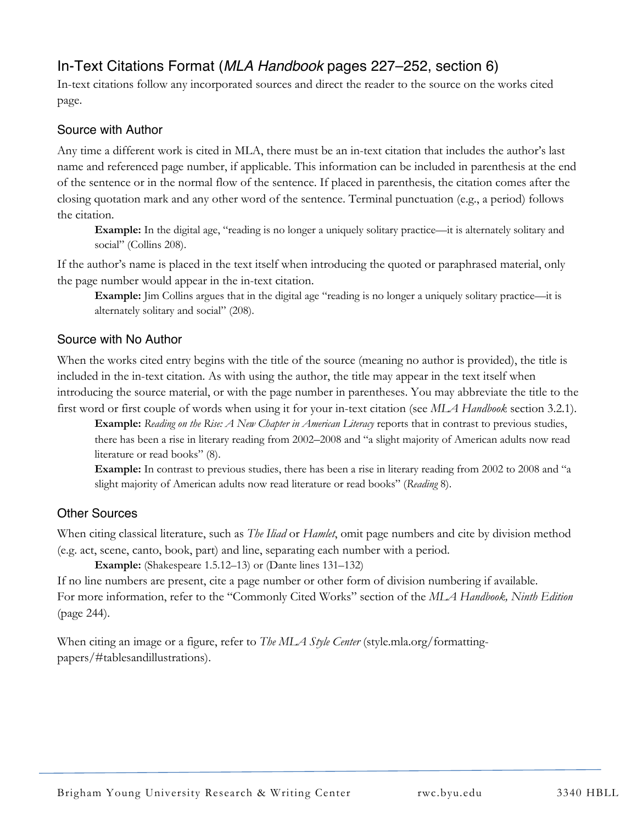# In-Text Citations Format (*MLA Handbook* pages 227–252, section 6)

In-text citations follow any incorporated sources and direct the reader to the source on the works cited page.

#### Source with Author

Any time a different work is cited in MLA, there must be an in-text citation that includes the author's last name and referenced page number, if applicable. This information can be included in parenthesis at the end of the sentence or in the normal flow of the sentence. If placed in parenthesis, the citation comes after the closing quotation mark and any other word of the sentence. Terminal punctuation (e.g., a period) follows the citation.

**Example:** In the digital age, "reading is no longer a uniquely solitary practice—it is alternately solitary and social" (Collins 208).

If the author's name is placed in the text itself when introducing the quoted or paraphrased material, only the page number would appear in the in-text citation.

**Example:** Jim Collins argues that in the digital age "reading is no longer a uniquely solitary practice—it is alternately solitary and social" (208).

#### Source with No Author

When the works cited entry begins with the title of the source (meaning no author is provided), the title is included in the in-text citation. As with using the author, the title may appear in the text itself when introducing the source material, or with the page number in parentheses. You may abbreviate the title to the first word or first couple of words when using it for your in-text citation (see *MLA Handbook* section 3.2.1).

**Example:** *Reading on the Rise: A New Chapter in American Literacy* reports that in contrast to previous studies, there has been a rise in literary reading from 2002–2008 and "a slight majority of American adults now read literature or read books" (8).

**Example:** In contrast to previous studies, there has been a rise in literary reading from 2002 to 2008 and "a slight majority of American adults now read literature or read books" (*Reading* 8).

#### Other Sources

When citing classical literature, such as *The Iliad* or *Hamlet*, omit page numbers and cite by division method (e.g. act, scene, canto, book, part) and line, separating each number with a period.

**Example:** (Shakespeare 1.5.12–13) or (Dante lines 131–132)

If no line numbers are present, cite a page number or other form of division numbering if available. For more information, refer to the "Commonly Cited Works" section of the *MLA Handbook, Ninth Edition* (page 244).

When citing an image or a figure, refer to *The MLA Style Center* (style.mla.org/formattingpapers/#tablesandillustrations).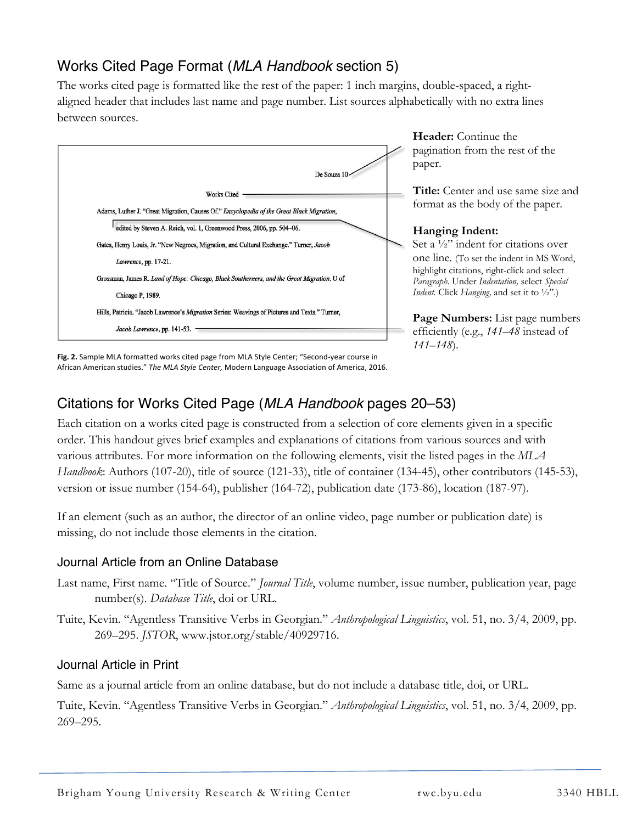# Works Cited Page Format (*MLA Handbook* section 5)

The works cited page is formatted like the rest of the paper: 1 inch margins, double-spaced, a rightaligned header that includes last name and page number. List sources alphabetically with no extra lines between sources.



**Header:** Continue the pagination from the rest of the paper.

**Title:** Center and use same size and format as the body of the paper.

#### **Hanging Indent:**

Set a  $\frac{1}{2}$  indent for citations over one line. (To set the indent in MS Word, highlight citations, right-click and select *Paragraph*. Under *Indentation,* select *Special Indent.* Click *Hanging,* and set it to ½".)

**Page Numbers:** List page numbers efficiently (e.g., *141–48* instead of *141–148*).

**Fig. 2.** Sample MLA formatted works cited page from MLA Style Center; "Second-year course in<br>African American studies." *The MLA Style Center,* Modern Language Association of America, 2016. **Fig. 2.** Sample MLA formatted works cited page from MLA Style Center; "Second-year course in

# Citations for Works Cited Page (*MLA Handbook* pages 20–53)

Each citation on a works cited page is constructed from a selection of core elements given in a specific order. This handout gives brief examples and explanations of citations from various sources and with various attributes. For more information on the following elements, visit the listed pages in the *MLA Handbook*: Authors (107-20), title of source (121-33), title of container (134-45), other contributors (145-53), version or issue number (154-64), publisher (164-72), publication date (173-86), location (187-97).

If an element (such as an author, the director of an online video, page number or publication date) is missing, do not include those elements in the citation.

# Journal Article from an Online Database

- Last name, First name. "Title of Source." *Journal Title*, volume number, issue number, publication year, page number(s). *Database Title*, doi or URL.
- Tuite, Kevin. "Agentless Transitive Verbs in Georgian." *Anthropological Linguistics*, vol. 51, no. 3/4, 2009, pp. 269–295. *JSTOR*, www.jstor.org/stable/40929716.

#### Journal Article in Print

Same as a journal article from an online database, but do not include a database title, doi, or URL.

Tuite, Kevin. "Agentless Transitive Verbs in Georgian." *Anthropological Linguistics*, vol. 51, no. 3/4, 2009, pp. 269–295.